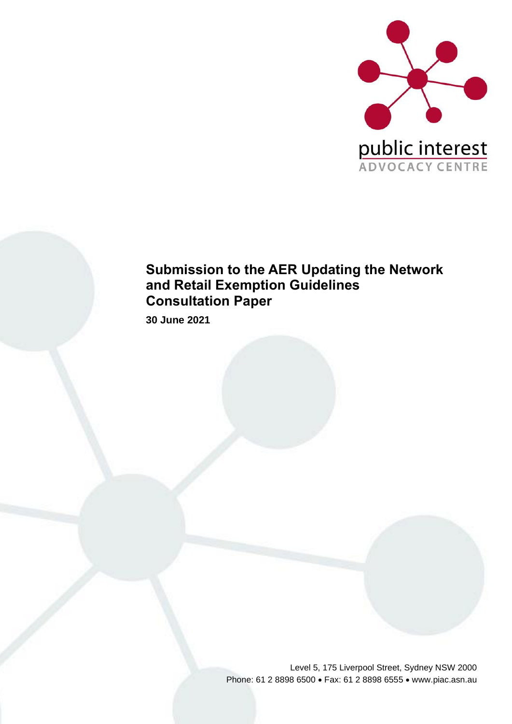

## **Submission to the AER Updating the Network and Retail Exemption Guidelines Consultation Paper**

**30 June 2021**

Level 5, 175 Liverpool Street, Sydney NSW 2000 Phone: 61 2 8898 6500 • Fax: 61 2 8898 6555 • www.piac.asn.au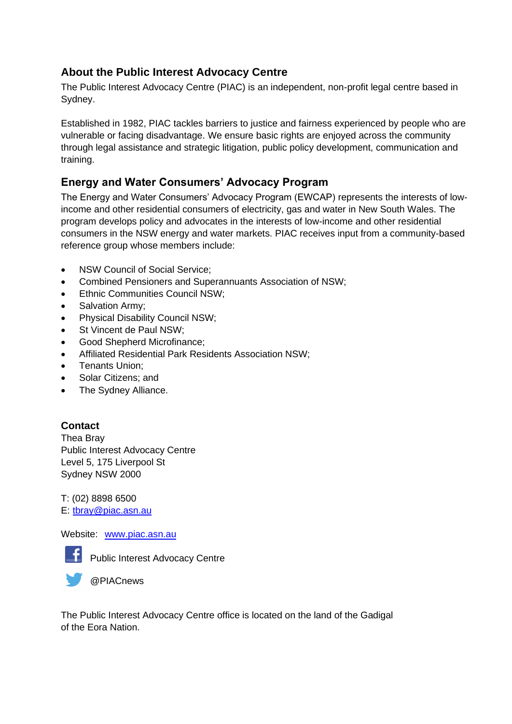### **About the Public Interest Advocacy Centre**

The Public Interest Advocacy Centre (PIAC) is an independent, non-profit legal centre based in Sydney.

Established in 1982, PIAC tackles barriers to justice and fairness experienced by people who are vulnerable or facing disadvantage. We ensure basic rights are enjoyed across the community through legal assistance and strategic litigation, public policy development, communication and training.

## **Energy and Water Consumers' Advocacy Program**

The Energy and Water Consumers' Advocacy Program (EWCAP) represents the interests of lowincome and other residential consumers of electricity, gas and water in New South Wales. The program develops policy and advocates in the interests of low-income and other residential consumers in the NSW energy and water markets. PIAC receives input from a community-based reference group whose members include:

- NSW Council of Social Service:
- Combined Pensioners and Superannuants Association of NSW;
- Ethnic Communities Council NSW;
- Salvation Army;
- Physical Disability Council NSW;
- St Vincent de Paul NSW;
- Good Shepherd Microfinance;
- Affiliated Residential Park Residents Association NSW;
- Tenants Union;
- Solar Citizens; and
- The Sydney Alliance.

### **Contact**

Thea Bray Public Interest Advocacy Centre Level 5, 175 Liverpool St Sydney NSW 2000

T: (02) 8898 6500 E: [tbray@piac.asn.au](mailto:tbray@piac.asn.au)

Website: [www.piac.asn.au](http://www.piac.asn.au/)



**F** Public Interest Advocacy Centre

@PIACnews

The Public Interest Advocacy Centre office is located on the land of the Gadigal of the Eora Nation.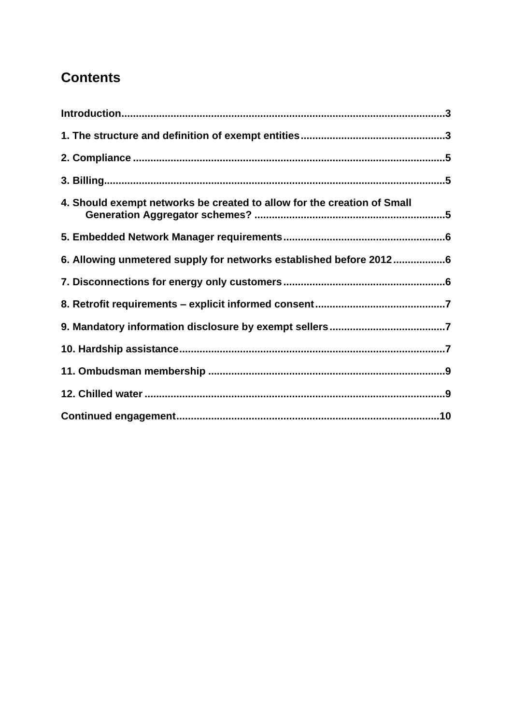# **Contents**

| 4. Should exempt networks be created to allow for the creation of Small |  |
|-------------------------------------------------------------------------|--|
|                                                                         |  |
| 6. Allowing unmetered supply for networks established before 20126      |  |
|                                                                         |  |
|                                                                         |  |
|                                                                         |  |
|                                                                         |  |
|                                                                         |  |
|                                                                         |  |
|                                                                         |  |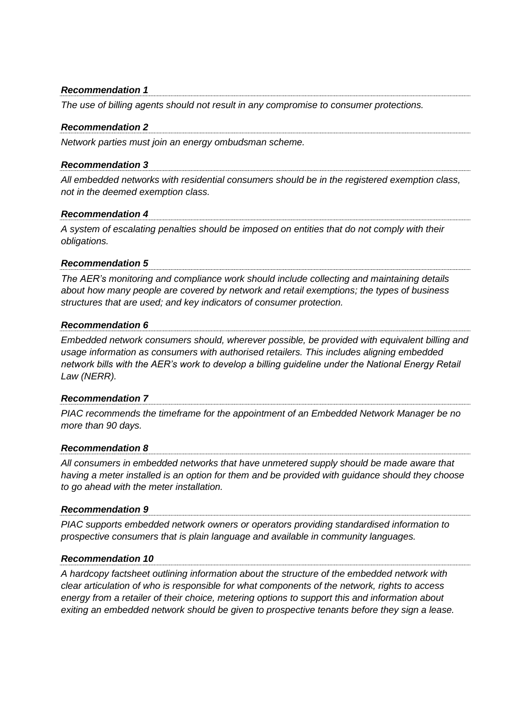#### *Recommendation 1*

*The use of billing agents should not result in any compromise to consumer protections.*

#### *Recommendation 2*

*Network parties must join an energy ombudsman scheme.* 

#### *Recommendation 3*

*All embedded networks with residential consumers should be in the registered exemption class, not in the deemed exemption class.* 

#### *Recommendation 4*

*A system of escalating penalties should be imposed on entities that do not comply with their obligations.*

#### *Recommendation 5*

*The AER's monitoring and compliance work should include collecting and maintaining details about how many people are covered by network and retail exemptions; the types of business structures that are used; and key indicators of consumer protection.*

#### *Recommendation 6*

*Embedded network consumers should, wherever possible, be provided with equivalent billing and usage information as consumers with authorised retailers. This includes aligning embedded network bills with the AER's work to develop a billing guideline under the National Energy Retail Law (NERR).* 

#### *Recommendation 7*

*PIAC recommends the timeframe for the appointment of an Embedded Network Manager be no more than 90 days.*

#### *Recommendation 8*

*All consumers in embedded networks that have unmetered supply should be made aware that having a meter installed is an option for them and be provided with guidance should they choose to go ahead with the meter installation.*

#### *Recommendation 9*

*PIAC supports embedded network owners or operators providing standardised information to prospective consumers that is plain language and available in community languages.*

#### *Recommendation 10*

*A hardcopy factsheet outlining information about the structure of the embedded network with clear articulation of who is responsible for what components of the network, rights to access energy from a retailer of their choice, metering options to support this and information about exiting an embedded network should be given to prospective tenants before they sign a lease.*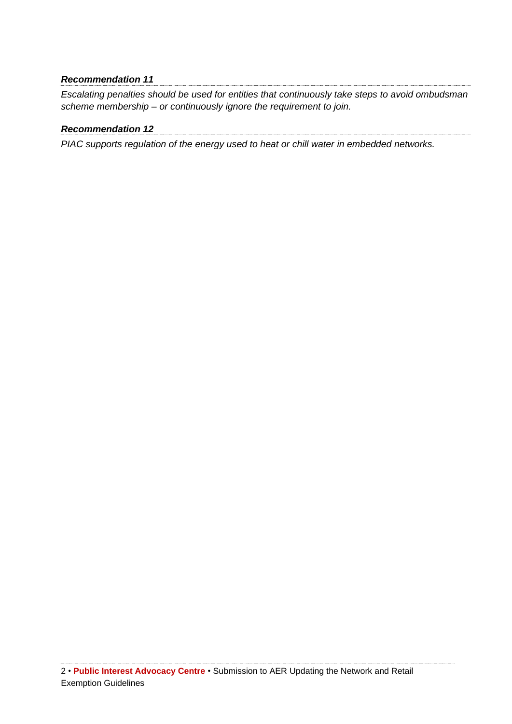### *Recommendation 11*

*Escalating penalties should be used for entities that continuously take steps to avoid ombudsman scheme membership – or continuously ignore the requirement to join.*

### *Recommendation 12*

*PIAC supports regulation of the energy used to heat or chill water in embedded networks.*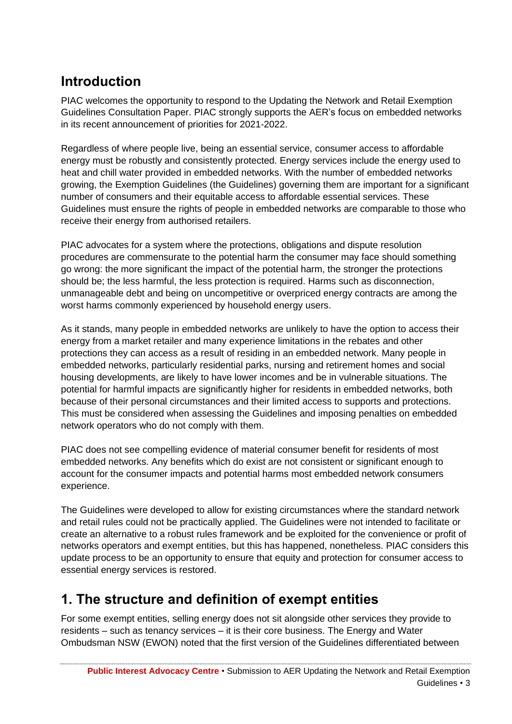# <span id="page-6-0"></span>**Introduction**

PIAC welcomes the opportunity to respond to the Updating the Network and Retail Exemption Guidelines Consultation Paper. PIAC strongly supports the AER's focus on embedded networks in its recent announcement of priorities for 2021-2022.

Regardless of where people live, being an essential service, consumer access to affordable energy must be robustly and consistently protected. Energy services include the energy used to heat and chill water provided in embedded networks. With the number of embedded networks growing, the Exemption Guidelines (the Guidelines) governing them are important for a significant number of consumers and their equitable access to affordable essential services. These Guidelines must ensure the rights of people in embedded networks are comparable to those who receive their energy from authorised retailers.

PIAC advocates for a system where the protections, obligations and dispute resolution procedures are commensurate to the potential harm the consumer may face should something go wrong: the more significant the impact of the potential harm, the stronger the protections should be; the less harmful, the less protection is required. Harms such as disconnection, unmanageable debt and being on uncompetitive or overpriced energy contracts are among the worst harms commonly experienced by household energy users.

As it stands, many people in embedded networks are unlikely to have the option to access their energy from a market retailer and many experience limitations in the rebates and other protections they can access as a result of residing in an embedded network. Many people in embedded networks, particularly residential parks, nursing and retirement homes and social housing developments, are likely to have lower incomes and be in vulnerable situations. The potential for harmful impacts are significantly higher for residents in embedded networks, both because of their personal circumstances and their limited access to supports and protections. This must be considered when assessing the Guidelines and imposing penalties on embedded network operators who do not comply with them.

PIAC does not see compelling evidence of material consumer benefit for residents of most embedded networks. Any benefits which do exist are not consistent or significant enough to account for the consumer impacts and potential harms most embedded network consumers experience.

The Guidelines were developed to allow for existing circumstances where the standard network and retail rules could not be practically applied. The Guidelines were not intended to facilitate or create an alternative to a robust rules framework and be exploited for the convenience or profit of networks operators and exempt entities, but this has happened, nonetheless. PIAC considers this update process to be an opportunity to ensure that equity and protection for consumer access to essential energy services is restored.

## <span id="page-6-1"></span>**1. The structure and definition of exempt entities**

For some exempt entities, selling energy does not sit alongside other services they provide to residents – such as tenancy services – it is their core business. The Energy and Water Ombudsman NSW (EWON) noted that the first version of the Guidelines differentiated between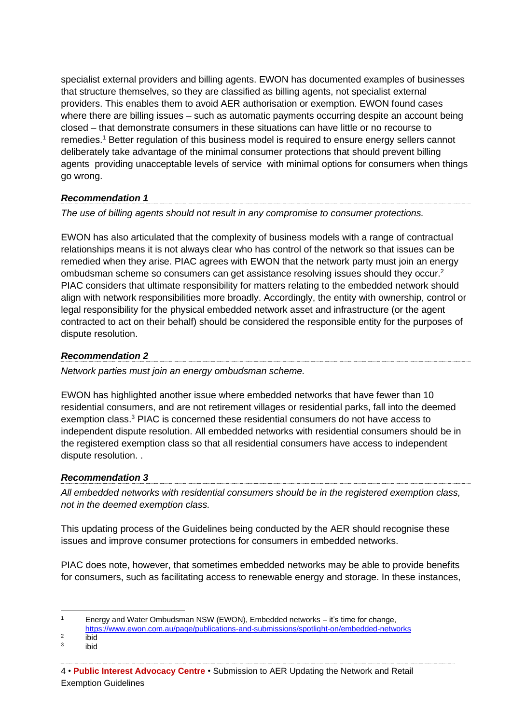specialist external providers and billing agents. EWON has documented examples of businesses that structure themselves, so they are classified as billing agents, not specialist external providers. This enables them to avoid AER authorisation or exemption. EWON found cases where there are billing issues – such as automatic payments occurring despite an account being closed – that demonstrate consumers in these situations can have little or no recourse to remedies. <sup>1</sup> Better regulation of this business model is required to ensure energy sellers cannot deliberately take advantage of the minimal consumer protections that should prevent billing agents providing unacceptable levels of service with minimal options for consumers when things go wrong.

### *Recommendation 1*

*The use of billing agents should not result in any compromise to consumer protections.*

EWON has also articulated that the complexity of business models with a range of contractual relationships means it is not always clear who has control of the network so that issues can be remedied when they arise. PIAC agrees with EWON that the network party must join an energy ombudsman scheme so consumers can get assistance resolving issues should they occur.<sup>2</sup> PIAC considers that ultimate responsibility for matters relating to the embedded network should align with network responsibilities more broadly. Accordingly, the entity with ownership, control or legal responsibility for the physical embedded network asset and infrastructure (or the agent contracted to act on their behalf) should be considered the responsible entity for the purposes of dispute resolution.

### *Recommendation 2*

*Network parties must join an energy ombudsman scheme.* 

EWON has highlighted another issue where embedded networks that have fewer than 10 residential consumers, and are not retirement villages or residential parks, fall into the deemed exemption class.<sup>3</sup> PIAC is concerned these residential consumers do not have access to independent dispute resolution. All embedded networks with residential consumers should be in the registered exemption class so that all residential consumers have access to independent dispute resolution. .

### *Recommendation 3*

*All embedded networks with residential consumers should be in the registered exemption class, not in the deemed exemption class.* 

This updating process of the Guidelines being conducted by the AER should recognise these issues and improve consumer protections for consumers in embedded networks.

PIAC does note, however, that sometimes embedded networks may be able to provide benefits for consumers, such as facilitating access to renewable energy and storage. In these instances,

<sup>1</sup> Energy and Water Ombudsman NSW (EWON), Embedded networks – it's time for change,

<https://www.ewon.com.au/page/publications-and-submissions/spotlight-on/embedded-networks>

 $\overline{2}$ ibid

<sup>3</sup> ibid

<sup>4</sup> • **Public Interest Advocacy Centre** • Submission to AER Updating the Network and Retail Exemption Guidelines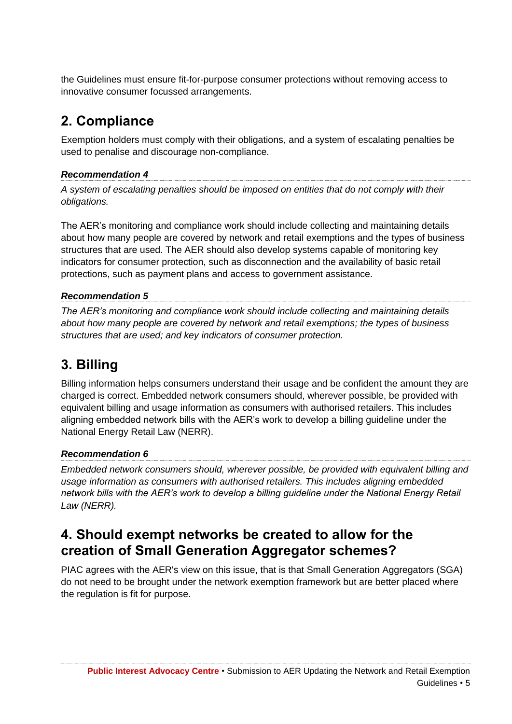the Guidelines must ensure fit-for-purpose consumer protections without removing access to innovative consumer focussed arrangements.

# <span id="page-8-0"></span>**2. Compliance**

Exemption holders must comply with their obligations, and a system of escalating penalties be used to penalise and discourage non-compliance.

### *Recommendation 4*

*A system of escalating penalties should be imposed on entities that do not comply with their obligations.*

The AER's monitoring and compliance work should include collecting and maintaining details about how many people are covered by network and retail exemptions and the types of business structures that are used. The AER should also develop systems capable of monitoring key indicators for consumer protection, such as disconnection and the availability of basic retail protections, such as payment plans and access to government assistance.

### *Recommendation 5*

*The AER's monitoring and compliance work should include collecting and maintaining details about how many people are covered by network and retail exemptions; the types of business structures that are used; and key indicators of consumer protection.*

# <span id="page-8-1"></span>**3. Billing**

Billing information helps consumers understand their usage and be confident the amount they are charged is correct. Embedded network consumers should, wherever possible, be provided with equivalent billing and usage information as consumers with authorised retailers. This includes aligning embedded network bills with the AER's work to develop a billing guideline under the National Energy Retail Law (NERR).

### *Recommendation 6*

*Embedded network consumers should, wherever possible, be provided with equivalent billing and usage information as consumers with authorised retailers. This includes aligning embedded network bills with the AER's work to develop a billing guideline under the National Energy Retail Law (NERR).* 

## <span id="page-8-2"></span>**4. Should exempt networks be created to allow for the creation of Small Generation Aggregator schemes?**

PIAC agrees with the AER's view on this issue, that is that Small Generation Aggregators (SGA) do not need to be brought under the network exemption framework but are better placed where the regulation is fit for purpose.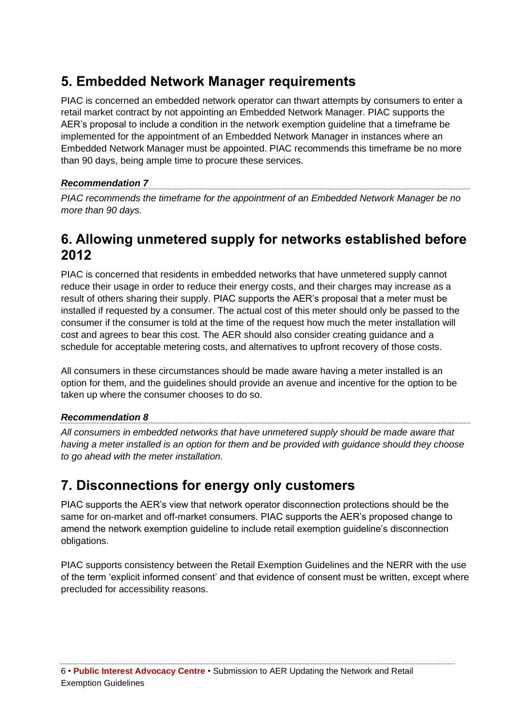## <span id="page-9-0"></span>**5. Embedded Network Manager requirements**

PIAC is concerned an embedded network operator can thwart attempts by consumers to enter a retail market contract by not appointing an Embedded Network Manager. PIAC supports the AER's proposal to include a condition in the network exemption guideline that a timeframe be implemented for the appointment of an Embedded Network Manager in instances where an Embedded Network Manager must be appointed. PIAC recommends this timeframe be no more than 90 days, being ample time to procure these services.

### *Recommendation 7*

*PIAC recommends the timeframe for the appointment of an Embedded Network Manager be no more than 90 days.*

## <span id="page-9-1"></span>**6. Allowing unmetered supply for networks established before 2012**

PIAC is concerned that residents in embedded networks that have unmetered supply cannot reduce their usage in order to reduce their energy costs, and their charges may increase as a result of others sharing their supply. PIAC supports the AER's proposal that a meter must be installed if requested by a consumer. The actual cost of this meter should only be passed to the consumer if the consumer is told at the time of the request how much the meter installation will cost and agrees to bear this cost. The AER should also consider creating guidance and a schedule for acceptable metering costs, and alternatives to upfront recovery of those costs.

All consumers in these circumstances should be made aware having a meter installed is an option for them, and the guidelines should provide an avenue and incentive for the option to be taken up where the consumer chooses to do so.

### *Recommendation 8*

*All consumers in embedded networks that have unmetered supply should be made aware that having a meter installed is an option for them and be provided with guidance should they choose to go ahead with the meter installation.*

## <span id="page-9-2"></span>**7. Disconnections for energy only customers**

PIAC supports the AER's view that network operator disconnection protections should be the same for on-market and off-market consumers. PIAC supports the AER's proposed change to amend the network exemption guideline to include retail exemption guideline's disconnection obligations.

PIAC supports consistency between the Retail Exemption Guidelines and the NERR with the use of the term 'explicit informed consent' and that evidence of consent must be written, except where precluded for accessibility reasons.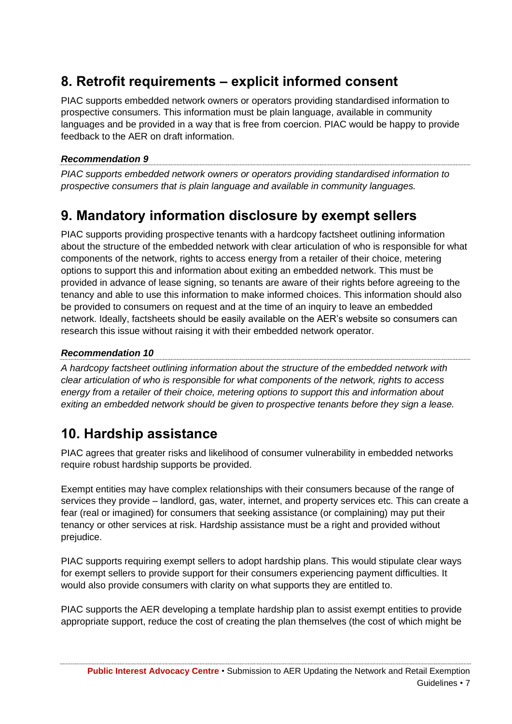# <span id="page-10-0"></span>**8. Retrofit requirements – explicit informed consent**

PIAC supports embedded network owners or operators providing standardised information to prospective consumers. This information must be plain language, available in community languages and be provided in a way that is free from coercion. PIAC would be happy to provide feedback to the AER on draft information.

### *Recommendation 9*

*PIAC supports embedded network owners or operators providing standardised information to prospective consumers that is plain language and available in community languages.*

## <span id="page-10-1"></span>**9. Mandatory information disclosure by exempt sellers**

PIAC supports providing prospective tenants with a hardcopy factsheet outlining information about the structure of the embedded network with clear articulation of who is responsible for what components of the network, rights to access energy from a retailer of their choice, metering options to support this and information about exiting an embedded network. This must be provided in advance of lease signing, so tenants are aware of their rights before agreeing to the tenancy and able to use this information to make informed choices. This information should also be provided to consumers on request and at the time of an inquiry to leave an embedded network. Ideally, factsheets should be easily available on the AER's website so consumers can research this issue without raising it with their embedded network operator.

### *Recommendation 10*

*A hardcopy factsheet outlining information about the structure of the embedded network with clear articulation of who is responsible for what components of the network, rights to access energy from a retailer of their choice, metering options to support this and information about exiting an embedded network should be given to prospective tenants before they sign a lease.*

## <span id="page-10-2"></span>**10. Hardship assistance**

PIAC agrees that greater risks and likelihood of consumer vulnerability in embedded networks require robust hardship supports be provided.

Exempt entities may have complex relationships with their consumers because of the range of services they provide – landlord, gas, water, internet, and property services etc. This can create a fear (real or imagined) for consumers that seeking assistance (or complaining) may put their tenancy or other services at risk. Hardship assistance must be a right and provided without prejudice.

PIAC supports requiring exempt sellers to adopt hardship plans. This would stipulate clear ways for exempt sellers to provide support for their consumers experiencing payment difficulties. It would also provide consumers with clarity on what supports they are entitled to.

PIAC supports the AER developing a template hardship plan to assist exempt entities to provide appropriate support, reduce the cost of creating the plan themselves (the cost of which might be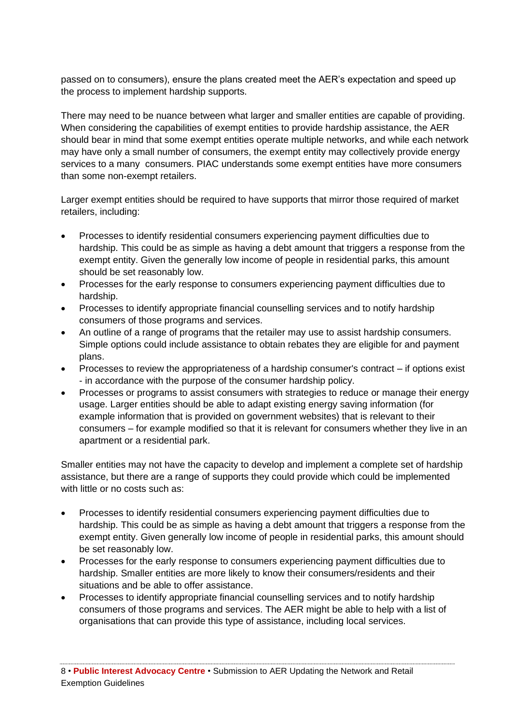passed on to consumers), ensure the plans created meet the AER's expectation and speed up the process to implement hardship supports.

There may need to be nuance between what larger and smaller entities are capable of providing. When considering the capabilities of exempt entities to provide hardship assistance, the AER should bear in mind that some exempt entities operate multiple networks, and while each network may have only a small number of consumers, the exempt entity may collectively provide energy services to a many consumers. PIAC understands some exempt entities have more consumers than some non-exempt retailers.

Larger exempt entities should be required to have supports that mirror those required of market retailers, including:

- Processes to identify residential consumers experiencing payment difficulties due to hardship. This could be as simple as having a debt amount that triggers a response from the exempt entity. Given the generally low income of people in residential parks, this amount should be set reasonably low.
- Processes for the early response to consumers experiencing payment difficulties due to hardship.
- Processes to identify appropriate financial counselling services and to notify hardship consumers of those programs and services.
- An outline of a range of programs that the retailer may use to assist hardship consumers. Simple options could include assistance to obtain rebates they are eligible for and payment plans.
- Processes to review the appropriateness of a hardship consumer's contract if options exist - in accordance with the purpose of the consumer hardship policy.
- Processes or programs to assist consumers with strategies to reduce or manage their energy usage. Larger entities should be able to adapt existing energy saving information (for example information that is provided on government websites) that is relevant to their consumers – for example modified so that it is relevant for consumers whether they live in an apartment or a residential park.

Smaller entities may not have the capacity to develop and implement a complete set of hardship assistance, but there are a range of supports they could provide which could be implemented with little or no costs such as:

- Processes to identify residential consumers experiencing payment difficulties due to hardship. This could be as simple as having a debt amount that triggers a response from the exempt entity. Given generally low income of people in residential parks, this amount should be set reasonably low.
- Processes for the early response to consumers experiencing payment difficulties due to hardship. Smaller entities are more likely to know their consumers/residents and their situations and be able to offer assistance.
- Processes to identify appropriate financial counselling services and to notify hardship consumers of those programs and services. The AER might be able to help with a list of organisations that can provide this type of assistance, including local services.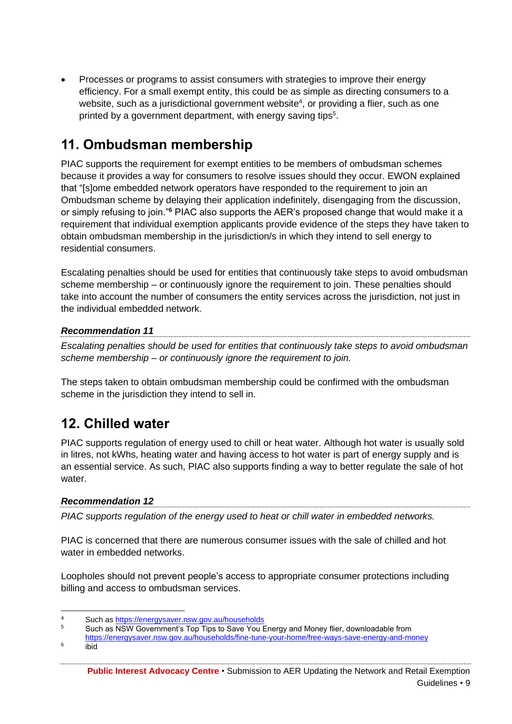• Processes or programs to assist consumers with strategies to improve their energy efficiency. For a small exempt entity, this could be as simple as directing consumers to a website, such as a jurisdictional government website<sup>4</sup>, or providing a flier, such as one printed by a government department, with energy saving tips<sup>5</sup>.

# <span id="page-12-0"></span>**11. Ombudsman membership**

PIAC supports the requirement for exempt entities to be members of ombudsman schemes because it provides a way for consumers to resolve issues should they occur. EWON explained that "[s]ome embedded network operators have responded to the requirement to join an Ombudsman scheme by delaying their application indefinitely, disengaging from the discussion, or simply refusing to join."**<sup>6</sup>** PIAC also supports the AER's proposed change that would make it a requirement that individual exemption applicants provide evidence of the steps they have taken to obtain ombudsman membership in the jurisdiction/s in which they intend to sell energy to residential consumers.

Escalating penalties should be used for entities that continuously take steps to avoid ombudsman scheme membership – or continuously ignore the requirement to join. These penalties should take into account the number of consumers the entity services across the jurisdiction, not just in the individual embedded network.

### *Recommendation 11*

*Escalating penalties should be used for entities that continuously take steps to avoid ombudsman scheme membership – or continuously ignore the requirement to join.*

The steps taken to obtain ombudsman membership could be confirmed with the ombudsman scheme in the jurisdiction they intend to sell in.

## <span id="page-12-1"></span>**12. Chilled water**

PIAC supports regulation of energy used to chill or heat water. Although hot water is usually sold in litres, not kWhs, heating water and having access to hot water is part of energy supply and is an essential service. As such, PIAC also supports finding a way to better regulate the sale of hot water.

### *Recommendation 12*

*PIAC supports regulation of the energy used to heat or chill water in embedded networks.* 

PIAC is concerned that there are numerous consumer issues with the sale of chilled and hot water in embedded networks.

Loopholes should not prevent people's access to appropriate consumer protections including billing and access to ombudsman services.

- <https://energysaver.nsw.gov.au/households/fine-tune-your-home/free-ways-save-energy-and-money> ibid
- 6

<sup>4</sup> Such as<https://energysaver.nsw.gov.au/households><br>5 Such as NSW Covernment's Ten Tips to Save You I

<sup>5</sup> Such as NSW Government's Top Tips to Save You Energy and Money flier, downloadable from